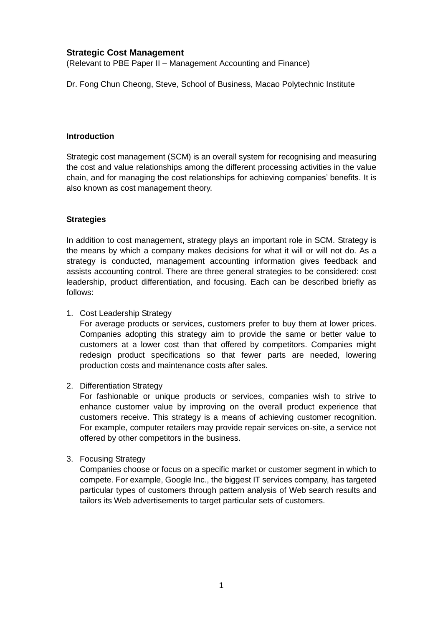# **Strategic Cost Management**

(Relevant to PBE Paper II – Management Accounting and Finance)

Dr. Fong Chun Cheong, Steve, School of Business, Macao Polytechnic Institute

#### **Introduction**

Strategic cost management (SCM) is an overall system for recognising and measuring the cost and value relationships among the different processing activities in the value chain, and for managing the cost relationships for achieving companies' benefits. It is also known as cost management theory.

### **Strategies**

In addition to cost management, strategy plays an important role in SCM. Strategy is the means by which a company makes decisions for what it will or will not do. As a strategy is conducted, management accounting information gives feedback and assists accounting control. There are three general strategies to be considered: cost leadership, product differentiation, and focusing. Each can be described briefly as follows:

1. Cost Leadership Strategy

For average products or services, customers prefer to buy them at lower prices. Companies adopting this strategy aim to provide the same or better value to customers at a lower cost than that offered by competitors. Companies might redesign product specifications so that fewer parts are needed, lowering production costs and maintenance costs after sales.

2. Differentiation Strategy

For fashionable or unique products or services, companies wish to strive to enhance customer value by improving on the overall product experience that customers receive. This strategy is a means of achieving customer recognition. For example, computer retailers may provide repair services on-site, a service not offered by other competitors in the business.

3. Focusing Strategy

Companies choose or focus on a specific market or customer segment in which to compete. For example, Google Inc., the biggest IT services company, has targeted particular types of customers through pattern analysis of Web search results and tailors its Web advertisements to target particular sets of customers.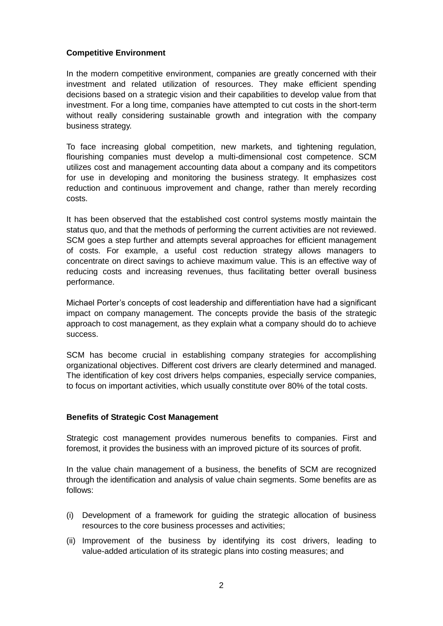## **Competitive Environment**

In the modern competitive environment, companies are greatly concerned with their investment and related utilization of resources. They make efficient spending decisions based on a strategic vision and their capabilities to develop value from that investment. For a long time, companies have attempted to cut costs in the short-term without really considering sustainable growth and integration with the company business strategy.

To face increasing global competition, new markets, and tightening regulation, flourishing companies must develop a multi-dimensional cost competence. SCM utilizes cost and management accounting data about a company and its competitors for use in developing and monitoring the business strategy. It emphasizes cost reduction and continuous improvement and change, rather than merely recording costs.

It has been observed that the established cost control systems mostly maintain the status quo, and that the methods of performing the current activities are not reviewed. SCM goes a step further and attempts several approaches for efficient management of costs. For example, a useful cost reduction strategy allows managers to concentrate on direct savings to achieve maximum value. This is an effective way of reducing costs and increasing revenues, thus facilitating better overall business performance.

Michael Porter's concepts of cost leadership and differentiation have had a significant impact on company management. The concepts provide the basis of the strategic approach to cost management, as they explain what a company should do to achieve success.

SCM has become crucial in establishing company strategies for accomplishing organizational objectives. Different cost drivers are clearly determined and managed. The identification of key cost drivers helps companies, especially service companies, to focus on important activities, which usually constitute over 80% of the total costs.

### **Benefits of Strategic Cost Management**

Strategic cost management provides numerous benefits to companies. First and foremost, it provides the business with an improved picture of its sources of profit.

In the value chain management of a business, the benefits of SCM are recognized through the identification and analysis of value chain segments. Some benefits are as follows:

- (i) Development of a framework for guiding the strategic allocation of business resources to the core business processes and activities;
- (ii) Improvement of the business by identifying its cost drivers, leading to value-added articulation of its strategic plans into costing measures; and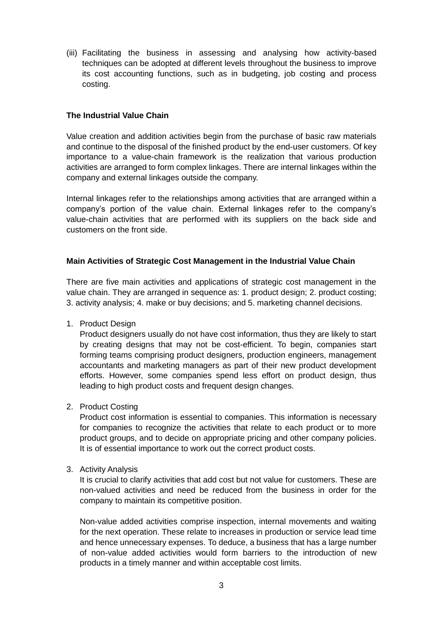(iii) Facilitating the business in assessing and analysing how activity-based techniques can be adopted at different levels throughout the business to improve its cost accounting functions, such as in budgeting, job costing and process costing.

## **The Industrial Value Chain**

Value creation and addition activities begin from the purchase of basic raw materials and continue to the disposal of the finished product by the end-user customers. Of key importance to a value-chain framework is the realization that various production activities are arranged to form complex linkages. There are internal linkages within the company and external linkages outside the company.

Internal linkages refer to the relationships among activities that are arranged within a company's portion of the value chain. External linkages refer to the company's value-chain activities that are performed with its suppliers on the back side and customers on the front side.

### **Main Activities of Strategic Cost Management in the Industrial Value Chain**

There are five main activities and applications of strategic cost management in the value chain. They are arranged in sequence as: 1. product design; 2. product costing; 3. activity analysis; 4. make or buy decisions; and 5. marketing channel decisions.

1. Product Design

Product designers usually do not have cost information, thus they are likely to start by creating designs that may not be cost-efficient. To begin, companies start forming teams comprising product designers, production engineers, management accountants and marketing managers as part of their new product development efforts. However, some companies spend less effort on product design, thus leading to high product costs and frequent design changes.

2. Product Costing

Product cost information is essential to companies. This information is necessary for companies to recognize the activities that relate to each product or to more product groups, and to decide on appropriate pricing and other company policies. It is of essential importance to work out the correct product costs.

3. Activity Analysis

It is crucial to clarify activities that add cost but not value for customers. These are non-valued activities and need be reduced from the business in order for the company to maintain its competitive position.

Non-value added activities comprise inspection, internal movements and waiting for the next operation. These relate to increases in production or service lead time and hence unnecessary expenses. To deduce, a business that has a large number of non-value added activities would form barriers to the introduction of new products in a timely manner and within acceptable cost limits.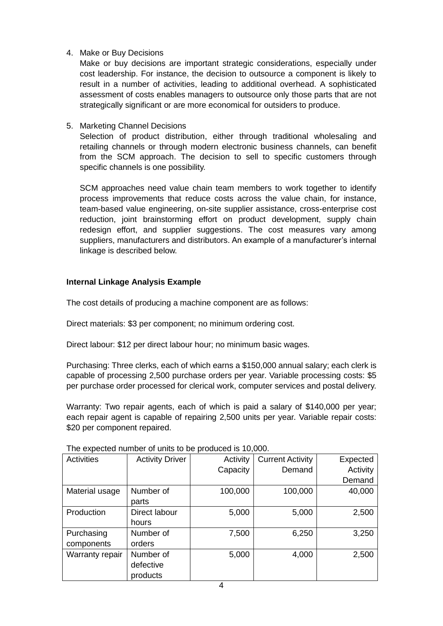4. Make or Buy Decisions

Make or buy decisions are important strategic considerations, especially under cost leadership. For instance, the decision to outsource a component is likely to result in a number of activities, leading to additional overhead. A sophisticated assessment of costs enables managers to outsource only those parts that are not strategically significant or are more economical for outsiders to produce.

5. Marketing Channel Decisions

Selection of product distribution, either through traditional wholesaling and retailing channels or through modern electronic business channels, can benefit from the SCM approach. The decision to sell to specific customers through specific channels is one possibility.

SCM approaches need value chain team members to work together to identify process improvements that reduce costs across the value chain, for instance, team-based value engineering, on-site supplier assistance, cross-enterprise cost reduction, joint brainstorming effort on product development, supply chain redesign effort, and supplier suggestions. The cost measures vary among suppliers, manufacturers and distributors. An example of a manufacturer's internal linkage is described below.

# **Internal Linkage Analysis Example**

The cost details of producing a machine component are as follows:

Direct materials: \$3 per component; no minimum ordering cost.

Direct labour: \$12 per direct labour hour; no minimum basic wages.

Purchasing: Three clerks, each of which earns a \$150,000 annual salary; each clerk is capable of processing 2,500 purchase orders per year. Variable processing costs: \$5 per purchase order processed for clerical work, computer services and postal delivery.

Warranty: Two repair agents, each of which is paid a salary of \$140,000 per year; each repair agent is capable of repairing 2,500 units per year. Variable repair costs: \$20 per component repaired.

| <b>Activities</b> | <b>Activity Driver</b> | Activity | <b>Current Activity</b> | Expected |
|-------------------|------------------------|----------|-------------------------|----------|
|                   |                        | Capacity | Demand                  | Activity |
|                   |                        |          |                         | Demand   |
| Material usage    | Number of              | 100,000  | 100,000                 | 40,000   |
|                   | parts                  |          |                         |          |
| Production        | Direct labour          | 5,000    | 5,000                   | 2,500    |
|                   | hours                  |          |                         |          |
| Purchasing        | Number of              | 7,500    | 6,250                   | 3,250    |
| components        | orders                 |          |                         |          |
| Warranty repair   | Number of              | 5,000    | 4,000                   | 2,500    |
|                   | defective              |          |                         |          |
|                   | products               |          |                         |          |

The expected number of units to be produced is 10,000.